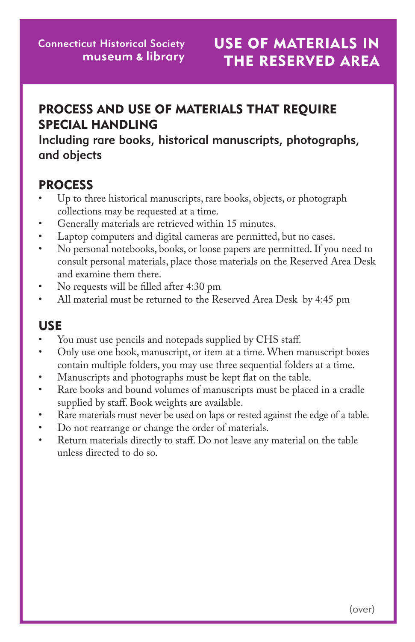## PROCESS AND USE OF MATERIALS THAT REQUIRE SPECIAL HANDLING

Including rare books, historical manuscripts, photographs, and objects

#### PROCESS

- Up to three historical manuscripts, rare books, objects, or photograph collections may be requested at a time.
- Generally materials are retrieved within 15 minutes.
- Laptop computers and digital cameras are permitted, but no cases.
- No personal notebooks, books, or loose papers are permitted. If you need to consult personal materials, place those materials on the Reserved Area Desk and examine them there.
- No requests will be filled after 4:30 pm
- All material must be returned to the Reserved Area Desk by 4:45 pm

#### USE

- You must use pencils and notepads supplied by CHS staff.
- Only use one book, manuscript, or item at a time. When manuscript boxes contain multiple folders, you may use three sequential folders at a time.
- Manuscripts and photographs must be kept flat on the table.
- Rare books and bound volumes of manuscripts must be placed in a cradle supplied by staff. Book weights are available.
- Rare materials must never be used on laps or rested against the edge of a table.
- Do not rearrange or change the order of materials.
- Return materials directly to staff. Do not leave any material on the table unless directed to do so.

(over)